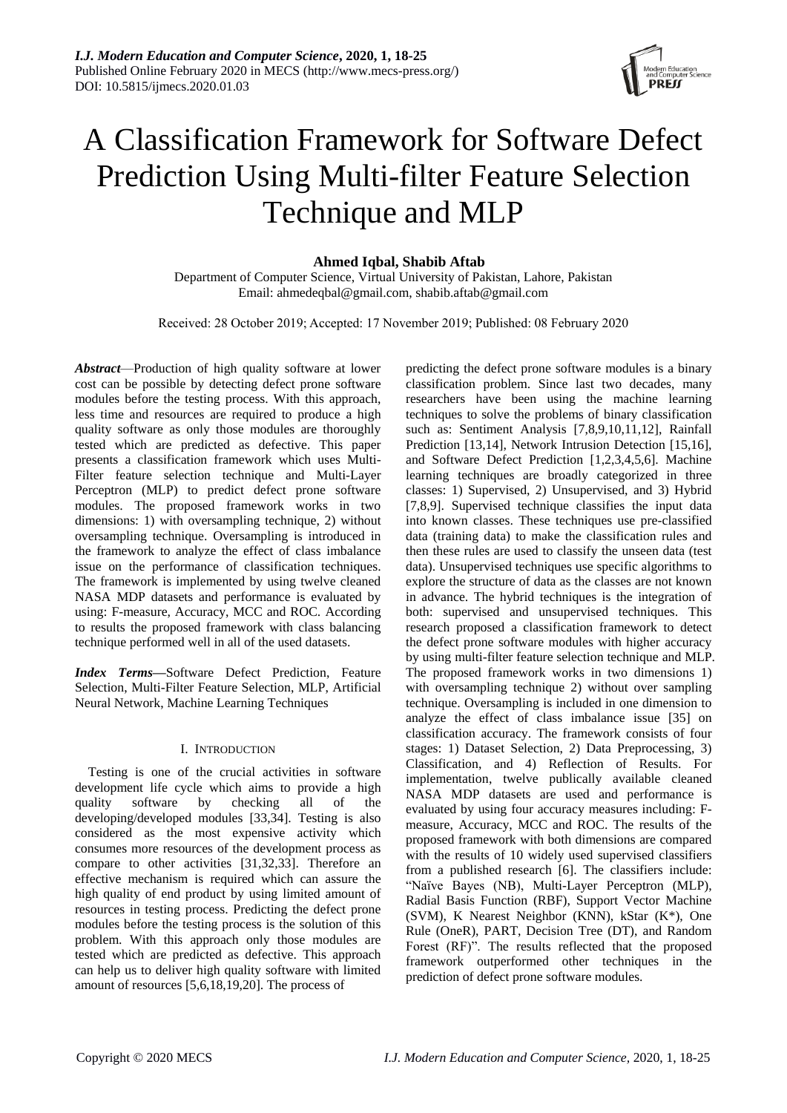

# A Classification Framework for Software Defect Prediction Using Multi-filter Feature Selection Technique and MLP

**Ahmed Iqbal, Shabib Aftab**

Department of Computer Science, Virtual University of Pakistan, Lahore, Pakistan Email[: ahmedeqbal@gmail.com,](mailto:ahmedeqbal@gmail.com) shabib.aftab@gmail.com

Received: 28 October 2019; Accepted: 17 November 2019; Published: 08 February 2020

*Abstract*—Production of high quality software at lower cost can be possible by detecting defect prone software modules before the testing process. With this approach, less time and resources are required to produce a high quality software as only those modules are thoroughly tested which are predicted as defective. This paper presents a classification framework which uses Multi-Filter feature selection technique and Multi-Layer Perceptron (MLP) to predict defect prone software modules. The proposed framework works in two dimensions: 1) with oversampling technique, 2) without oversampling technique. Oversampling is introduced in the framework to analyze the effect of class imbalance issue on the performance of classification techniques. The framework is implemented by using twelve cleaned NASA MDP datasets and performance is evaluated by using: F-measure, Accuracy, MCC and ROC. According to results the proposed framework with class balancing technique performed well in all of the used datasets.

*Index Terms***—**Software Defect Prediction, Feature Selection, Multi-Filter Feature Selection, MLP, Artificial Neural Network, Machine Learning Techniques

## I. INTRODUCTION

Testing is one of the crucial activities in software development life cycle which aims to provide a high quality software by checking all of the developing/developed modules [33,34]. Testing is also considered as the most expensive activity which consumes more resources of the development process as compare to other activities [31,32,33]. Therefore an effective mechanism is required which can assure the high quality of end product by using limited amount of resources in testing process. Predicting the defect prone modules before the testing process is the solution of this problem. With this approach only those modules are tested which are predicted as defective. This approach can help us to deliver high quality software with limited amount of resources [5,6,18,19,20]. The process of

predicting the defect prone software modules is a binary classification problem. Since last two decades, many researchers have been using the machine learning techniques to solve the problems of binary classification such as: Sentiment Analysis [7,8,9,10,11,12], Rainfall Prediction [13,14], Network Intrusion Detection [15,16], and Software Defect Prediction [1,2,3,4,5,6]. Machine learning techniques are broadly categorized in three classes: 1) Supervised, 2) Unsupervised, and 3) Hybrid [7,8,9]. Supervised technique classifies the input data into known classes. These techniques use pre-classified data (training data) to make the classification rules and then these rules are used to classify the unseen data (test data). Unsupervised techniques use specific algorithms to explore the structure of data as the classes are not known in advance. The hybrid techniques is the integration of both: supervised and unsupervised techniques. This research proposed a classification framework to detect the defect prone software modules with higher accuracy by using multi-filter feature selection technique and MLP. The proposed framework works in two dimensions 1) with oversampling technique 2) without over sampling technique. Oversampling is included in one dimension to analyze the effect of class imbalance issue [35] on classification accuracy. The framework consists of four stages: 1) Dataset Selection, 2) Data Preprocessing, 3) Classification, and 4) Reflection of Results. For implementation, twelve publically available cleaned NASA MDP datasets are used and performance is evaluated by using four accuracy measures including: Fmeasure, Accuracy, MCC and ROC. The results of the proposed framework with both dimensions are compared with the results of 10 widely used supervised classifiers from a published research [6]. The classifiers include: "Naïve Bayes (NB), Multi-Layer Perceptron (MLP), Radial Basis Function (RBF), Support Vector Machine (SVM), K Nearest Neighbor (KNN), kStar (K\*), One Rule (OneR), PART, Decision Tree (DT), and Random Forest (RF)". The results reflected that the proposed framework outperformed other techniques in the prediction of defect prone software modules.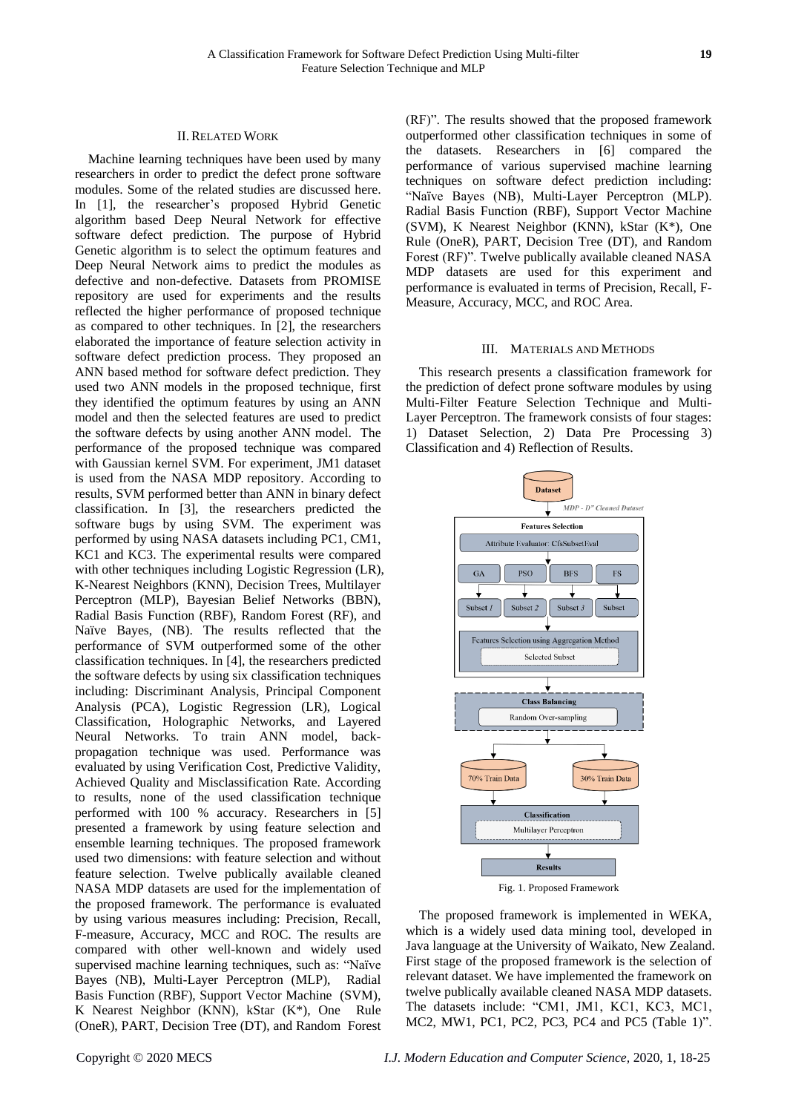Machine learning techniques have been used by many researchers in order to predict the defect prone software modules. Some of the related studies are discussed here. In [1], the researcher's proposed Hybrid Genetic algorithm based Deep Neural Network for effective software defect prediction. The purpose of Hybrid Genetic algorithm is to select the optimum features and Deep Neural Network aims to predict the modules as defective and non-defective. Datasets from PROMISE repository are used for experiments and the results reflected the higher performance of proposed technique as compared to other techniques. In [2], the researchers elaborated the importance of feature selection activity in software defect prediction process. They proposed an ANN based method for software defect prediction. They used two ANN models in the proposed technique, first they identified the optimum features by using an ANN model and then the selected features are used to predict the software defects by using another ANN model. The performance of the proposed technique was compared with Gaussian kernel SVM. For experiment, JM1 dataset is used from the NASA MDP repository. According to results, SVM performed better than ANN in binary defect classification. In [3], the researchers predicted the software bugs by using SVM. The experiment was performed by using NASA datasets including PC1, CM1, KC1 and KC3. The experimental results were compared with other techniques including Logistic Regression (LR), K-Nearest Neighbors (KNN), Decision Trees, Multilayer Perceptron (MLP), Bayesian Belief Networks (BBN), Radial Basis Function (RBF), Random Forest (RF), and Naïve Bayes, (NB). The results reflected that the performance of SVM outperformed some of the other classification techniques. In [4], the researchers predicted the software defects by using six classification techniques including: Discriminant Analysis, Principal Component Analysis (PCA), Logistic Regression (LR), Logical Classification, Holographic Networks, and Layered Neural Networks. To train ANN model, backpropagation technique was used. Performance was evaluated by using Verification Cost, Predictive Validity, Achieved Quality and Misclassification Rate. According to results, none of the used classification technique performed with 100 % accuracy. Researchers in [5] presented a framework by using feature selection and ensemble learning techniques. The proposed framework used two dimensions: with feature selection and without feature selection. Twelve publically available cleaned NASA MDP datasets are used for the implementation of the proposed framework. The performance is evaluated by using various measures including: Precision, Recall, F-measure, Accuracy, MCC and ROC. The results are compared with other well-known and widely used supervised machine learning techniques, such as: "Naïve Bayes (NB), Multi-Layer Perceptron (MLP), Radial Basis Function (RBF), Support Vector Machine (SVM), K Nearest Neighbor (KNN), kStar (K\*), One Rule (OneR), PART, Decision Tree (DT), and Random Forest

(RF)". The results showed that the proposed framework outperformed other classification techniques in some of the datasets. Researchers in [6] compared the performance of various supervised machine learning techniques on software defect prediction including: "Naïve Bayes (NB), Multi-Layer Perceptron (MLP). Radial Basis Function (RBF), Support Vector Machine (SVM), K Nearest Neighbor (KNN), kStar (K\*), One Rule (OneR), PART, Decision Tree (DT), and Random Forest (RF)". Twelve publically available cleaned NASA MDP datasets are used for this experiment and performance is evaluated in terms of Precision, Recall, F-Measure, Accuracy, MCC, and ROC Area.

#### III. MATERIALS AND METHODS

This research presents a classification framework for the prediction of defect prone software modules by using Multi-Filter Feature Selection Technique and Multi-Layer Perceptron. The framework consists of four stages: 1) Dataset Selection, 2) Data Pre Processing 3) Classification and 4) Reflection of Results.



Fig. 1. Proposed Framework

The proposed framework is implemented in WEKA, which is a widely used data mining tool, developed in Java language at the University of Waikato, New Zealand. First stage of the proposed framework is the selection of relevant dataset. We have implemented the framework on twelve publically available cleaned NASA MDP datasets. The datasets include: "CM1, JM1, KC1, KC3, MC1, MC2, MW1, PC1, PC2, PC3, PC4 and PC5 (Table 1)".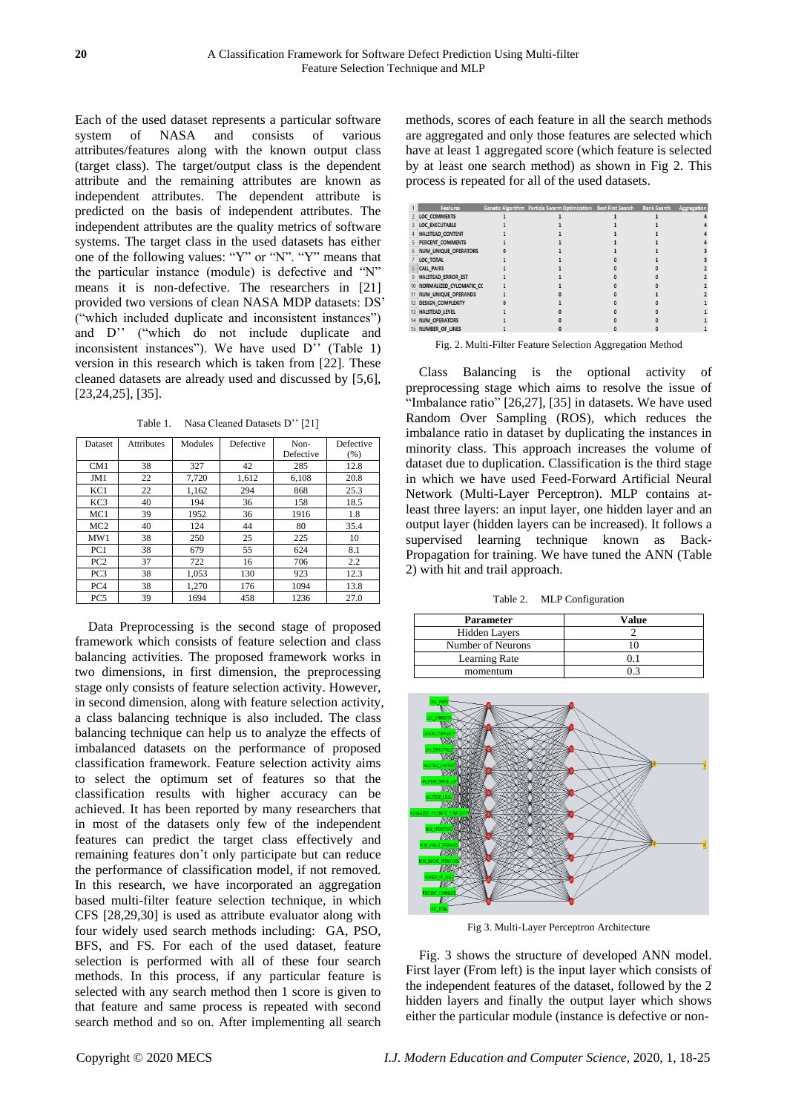Each of the used dataset represents a particular software system of NASA and consists of various attributes/features along with the known output class (target class). The target/output class is the dependent attribute and the remaining attributes are known as independent attributes. The dependent attribute is predicted on the basis of independent attributes. The independent attributes are the quality metrics of software systems. The target class in the used datasets has either one of the following values: "Y" or "N". "Y" means that the particular instance (module) is defective and "N" means it is non-defective. The researchers in [21] provided two versions of clean NASA MDP datasets: DS' ("which included duplicate and inconsistent instances") and D'' ("which do not include duplicate and inconsistent instances"). We have used  $D^{'''}$  (Table 1) version in this research which is taken from [22]. These cleaned datasets are already used and discussed by [5,6], [23,24,25], [35].

Table 1. Nasa Cleaned Datasets D'' [21]

| Dataset         | Attributes | Modules | Defective | Non-      | Defective |
|-----------------|------------|---------|-----------|-----------|-----------|
|                 |            |         |           | Defective | (% )      |
| CM <sub>1</sub> | 38         | 327     | 42        | 285       | 12.8      |
| JM1             | 22         | 7,720   | 1,612     | 6,108     | 20.8      |
| KC1             | 22         | 1,162   | 294       | 868       | 25.3      |
| KC <sub>3</sub> | 40         | 194     | 36        | 158       | 18.5      |
| MC1             | 39         | 1952    | 36        | 1916      | 1.8       |
| MC2             | 40         | 124     | 44        | 80        | 35.4      |
| MW1             | 38         | 250     | 25        | 225       | 10        |
| PC1             | 38         | 679     | 55        | 624       | 8.1       |
| PC2             | 37         | 722     | 16        | 706       | 2.2       |
| PC <sub>3</sub> | 38         | 1,053   | 130       | 923       | 12.3      |
| PC4             | 38         | 1,270   | 176       | 1094      | 13.8      |
| PC5             | 39         | 1694    | 458       | 1236      | 27.0      |

Data Preprocessing is the second stage of proposed framework which consists of feature selection and class balancing activities. The proposed framework works in two dimensions, in first dimension, the preprocessing stage only consists of feature selection activity. However, in second dimension, along with feature selection activity, a class balancing technique is also included. The class balancing technique can help us to analyze the effects of imbalanced datasets on the performance of proposed classification framework. Feature selection activity aims to select the optimum set of features so that the classification results with higher accuracy can be achieved. It has been reported by many researchers that in most of the datasets only few of the independent features can predict the target class effectively and remaining features don't only participate but can reduce the performance of classification model, if not removed. In this research, we have incorporated an aggregation based multi-filter feature selection technique, in which CFS [28,29,30] is used as attribute evaluator along with four widely used search methods including: GA, PSO, BFS, and FS. For each of the used dataset, feature selection is performed with all of these four search methods. In this process, if any particular feature is selected with any search method then 1 score is given to that feature and same process is repeated with second search method and so on. After implementing all search

methods, scores of each feature in all the search methods are aggregated and only those features are selected which have at least 1 aggregated score (which feature is selected by at least one search method) as shown in Fig 2. This process is repeated for all of the used datasets.

|                  | <b>Features</b>             | Genetic Algorithm Particle Swarm Optimization Best First Search | <b>Rank Search</b> |                    |
|------------------|-----------------------------|-----------------------------------------------------------------|--------------------|--------------------|
|                  |                             |                                                                 |                    | <b>Aggregation</b> |
|                  | <b>LOC COMMENTS</b>         |                                                                 |                    |                    |
|                  | <b>LOC_EXECUTABLE</b>       |                                                                 |                    |                    |
|                  | <b>HALSTEAD CONTENT</b>     |                                                                 |                    |                    |
|                  | PERCENT_COMMENTS            |                                                                 |                    |                    |
|                  | <b>NUM UNIQUE OPERATORS</b> |                                                                 |                    |                    |
|                  | <b>LOC_TOTAL</b>            |                                                                 |                    |                    |
| 8                | <b>CALL PAIRS</b>           |                                                                 |                    |                    |
|                  | <b>HALSTEAD_ERROR_EST</b>   |                                                                 |                    |                    |
| 10 <sup>10</sup> | NORMALIZED_CYLOMATIC_CC     |                                                                 |                    |                    |
|                  | NUM_UNIQUE_OPERANDS         |                                                                 |                    |                    |
|                  | <b>DESIGN_COMPLEXITY</b>    |                                                                 |                    |                    |
|                  | <b>HALSTEAD LEVEL</b>       |                                                                 |                    |                    |
|                  | <b>NUM_OPERATORS</b>        |                                                                 |                    |                    |
|                  | <b>NUMBER OF LINES</b>      |                                                                 |                    |                    |

Fig. 2. Multi-Filter Feature Selection Aggregation Method

Class Balancing is the optional activity of preprocessing stage which aims to resolve the issue of "Imbalance ratio" [26,27], [35] in datasets. We have used Random Over Sampling (ROS), which reduces the imbalance ratio in dataset by duplicating the instances in minority class. This approach increases the volume of dataset due to duplication. Classification is the third stage in which we have used Feed-Forward Artificial Neural Network (Multi-Layer Perceptron). MLP contains atleast three layers: an input layer, one hidden layer and an output layer (hidden layers can be increased). It follows a supervised learning technique known as Back-Propagation for training. We have tuned the ANN (Table 2) with hit and trail approach.

Table 2. MLP Configuration

| <b>Parameter</b>     | Value |
|----------------------|-------|
| <b>Hidden Layers</b> |       |
| Number of Neurons    |       |
| Learning Rate        |       |
| momentum             |       |



Fig 3. Multi-Layer Perceptron Architecture

Fig. 3 shows the structure of developed ANN model. First layer (From left) is the input layer which consists of the independent features of the dataset, followed by the 2 hidden layers and finally the output layer which shows either the particular module (instance is defective or non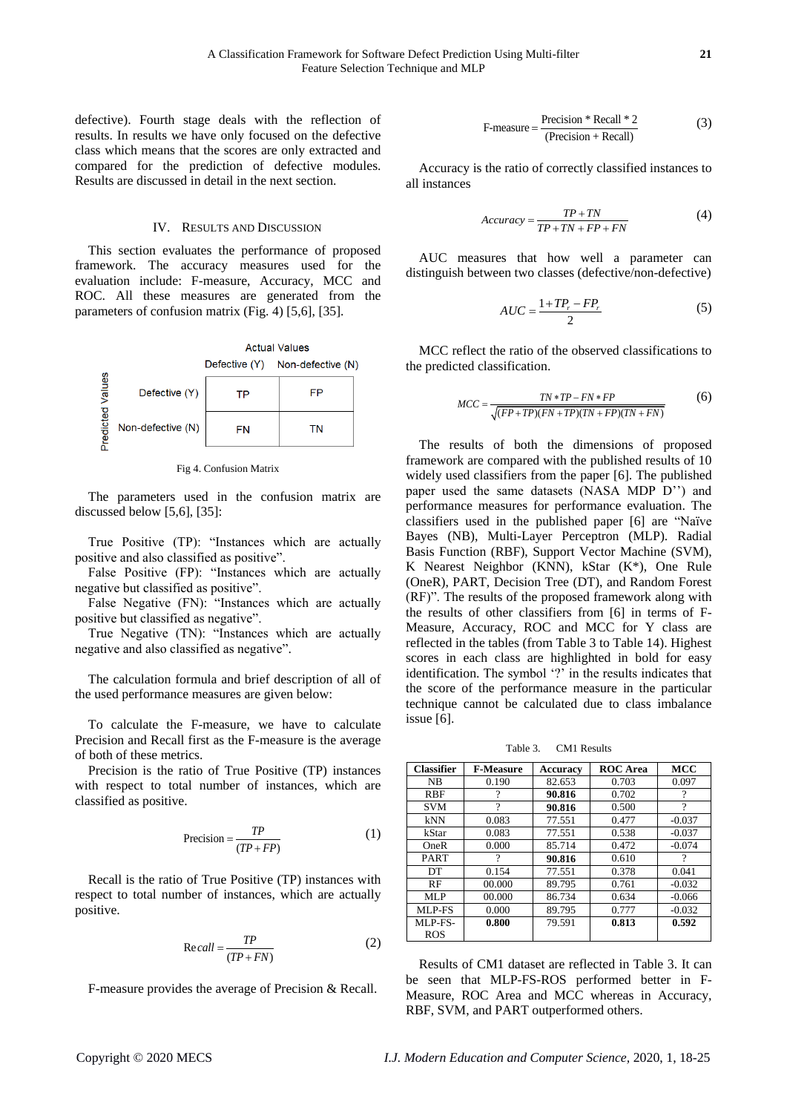defective). Fourth stage deals with the reflection of results. In results we have only focused on the defective class which means that the scores are only extracted and compared for the prediction of defective modules. Results are discussed in detail in the next section.

#### IV. RESULTS AND DISCUSSION

This section evaluates the performance of proposed framework. The accuracy measures used for the evaluation include: F-measure, Accuracy, MCC and ROC. All these measures are generated from the parameters of confusion matrix (Fig. 4) [5,6], [35].



Fig 4. Confusion Matrix

The parameters used in the confusion matrix are discussed below [5,6], [35]:

True Positive (TP): "Instances which are actually positive and also classified as positive".

False Positive (FP): "Instances which are actually negative but classified as positive".

False Negative (FN): "Instances which are actually positive but classified as negative".

True Negative (TN): "Instances which are actually negative and also classified as negative".

The calculation formula and brief description of all of the used performance measures are given below:

To calculate the F-measure, we have to calculate Precision and Recall first as the F-measure is the average of both of these metrics.

Precision is the ratio of True Positive (TP) instances with respect to total number of instances, which are classified as positive.

$$
Precision = \frac{TP}{(TP + FP)}
$$
 (1)

Recall is the ratio of True Positive (TP) instances with respect to total number of instances, which are actually positive.

$$
Recall = \frac{TP}{(TP + FN)}
$$
 (2)

F-measure provides the average of Precision & Recall.

$$
F-measure = \frac{Precision * Recall * 2}{(Precision + Recall)}
$$
(3)

Accuracy is the ratio of correctly classified instances to all instances

$$
Accuracy = \frac{TP + TN}{TP + TN + FP + FN}
$$
 (4)

AUC measures that how well a parameter can distinguish between two classes (defective/non-defective)

$$
AUC = \frac{1 + TP_r - FP_r}{2} \tag{5}
$$

MCC reflect the ratio of the observed classifications to the predicted classification.

$$
MCC = \frac{TN * TP - FN * FP}{\sqrt{(FP + TP)(FN + TP)(TN + FP)(TN + FN)}}
$$
(6)

The results of both the dimensions of proposed framework are compared with the published results of 10 widely used classifiers from the paper [6]. The published paper used the same datasets (NASA MDP D'') and performance measures for performance evaluation. The classifiers used in the published paper [6] are "Naïve Bayes (NB), Multi-Layer Perceptron (MLP). Radial Basis Function (RBF), Support Vector Machine (SVM), K Nearest Neighbor (KNN), kStar (K\*), One Rule (OneR), PART, Decision Tree (DT), and Random Forest (RF)". The results of the proposed framework along with the results of other classifiers from [6] in terms of F-Measure, Accuracy, ROC and MCC for Y class are reflected in the tables (from Table 3 to Table 14). Highest scores in each class are highlighted in bold for easy identification. The symbol '?' in the results indicates that the score of the performance measure in the particular technique cannot be calculated due to class imbalance issue [6].

Table 3. CM1 Results

| <b>Classifier</b> | <b>F-Measure</b> | Accuracy | <b>ROC</b> Area | <b>MCC</b> |
|-------------------|------------------|----------|-----------------|------------|
| <b>NB</b>         | 0.190            | 82.653   | 0.703           | 0.097      |
| <b>RBF</b>        | 9                | 90.816   | 0.702           | ?          |
| <b>SVM</b>        | 9                | 90.816   | 0.500           | ?          |
| kNN               | 0.083            | 77.551   | 0.477           | $-0.037$   |
| kStar             | 0.083            | 77.551   | 0.538           | $-0.037$   |
| OneR              | 0.000            | 85.714   | 0.472           | $-0.074$   |
| <b>PART</b>       | 9                | 90.816   | 0.610           | ?          |
| DT                | 0.154            | 77.551   | 0.378           | 0.041      |
| RF                | 00.000           | 89.795   | 0.761           | $-0.032$   |
| MLP               | 00.000           | 86.734   | 0.634           | $-0.066$   |
| MLP-FS            | 0.000            | 89.795   | 0.777           | $-0.032$   |
| MLP-FS-           | 0.800            | 79.591   | 0.813           | 0.592      |
| <b>ROS</b>        |                  |          |                 |            |

Results of CM1 dataset are reflected in Table 3. It can be seen that MLP-FS-ROS performed better in F-Measure, ROC Area and MCC whereas in Accuracy, RBF, SVM, and PART outperformed others.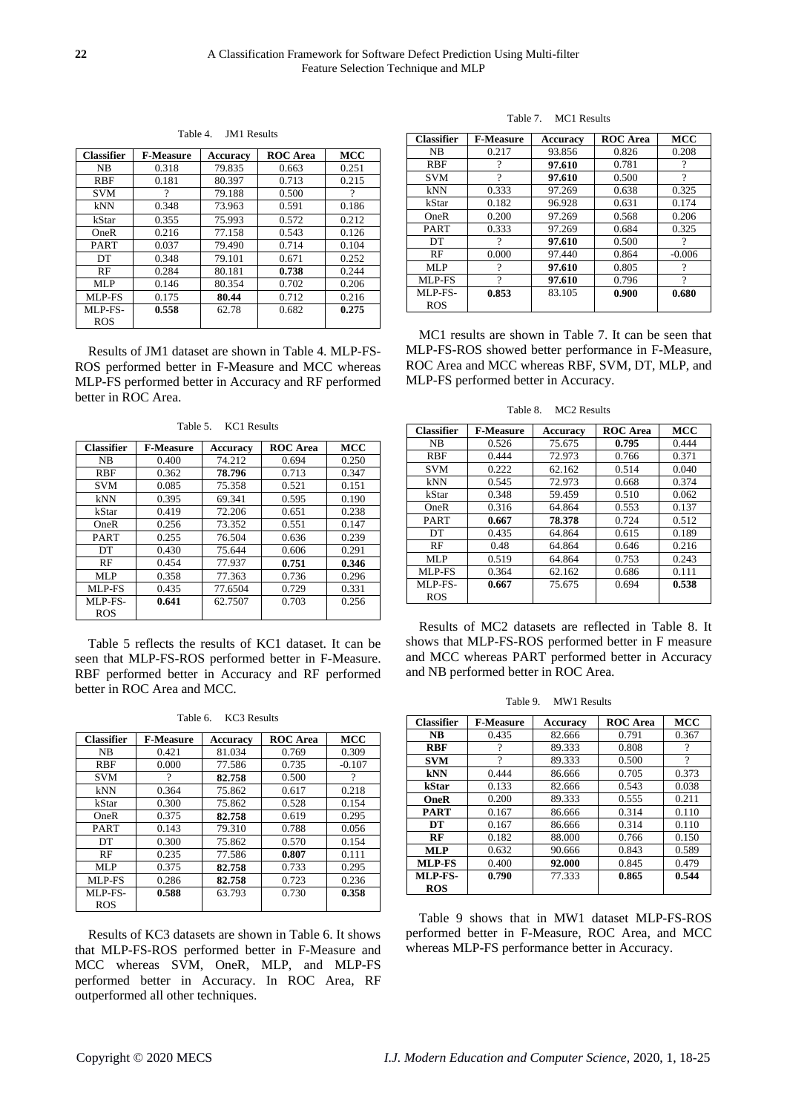**Classifier F-Measure Accuracy ROC Area MCC** NB 0.318 79.835 RBF 0.181 80.397 0.713 0.215<br>SVM 7 79.188 0.500 ? 79.188 kNN 0.348 73.963 0.591 0.186 kStar 0.355 75.993 0.572 0.212 OneR 0.216 77.158 0.543 0.126 PART 0.037 79.490 0.714 0.104 DT 0.348 79.101 0.671 0.252 RF 0.284 80.181 **0.738** 0.244 MLP 0.146 80.354 0.702 0.206 MLP-FS 0.175 **80.44** 0.712 0.216 MLP-FS-ROS **0.558** 62.78 0.682 **0.275** 

Table 4. JM1 Results

Results of JM1 dataset are shown in Table 4. MLP-FS-ROS performed better in F-Measure and MCC whereas MLP-FS performed better in Accuracy and RF performed better in ROC Area.

| <b>Classifier</b> | <b>F-Measure</b> | <b>Accuracy</b> | <b>ROC</b> Area | <b>MCC</b> |
|-------------------|------------------|-----------------|-----------------|------------|
| <b>NB</b>         | 0.400            | 74.212          | 0.694           | 0.250      |
| <b>RBF</b>        | 0.362            | 78.796          | 0.713           | 0.347      |
| <b>SVM</b>        | 0.085            | 75.358          | 0.521           | 0.151      |
| kNN               | 0.395            | 69.341          | 0.595           | 0.190      |
| kStar             | 0.419            | 72.206          | 0.651           | 0.238      |
| OneR              | 0.256            | 73.352          | 0.551           | 0.147      |
| <b>PART</b>       | 0.255            | 76.504          | 0.636           | 0.239      |
| DT                | 0.430            | 75.644          | 0.606           | 0.291      |
| RF                | 0.454            | 77.937          | 0.751           | 0.346      |
| MLP               | 0.358            | 77.363          | 0.736           | 0.296      |
| MLP-FS            | 0.435            | 77.6504         | 0.729           | 0.331      |
| MLP-FS-           | 0.641            | 62.7507         | 0.703           | 0.256      |
| ROS               |                  |                 |                 |            |

Table 5. KC1 Results

Table 5 reflects the results of KC1 dataset. It can be seen that MLP-FS-ROS performed better in F-Measure. RBF performed better in Accuracy and RF performed better in ROC Area and MCC.

Table 6. KC3 Results

| <b>Classifier</b> | <b>F-Measure</b> | Accuracy | <b>ROC</b> Area | <b>MCC</b> |
|-------------------|------------------|----------|-----------------|------------|
| <b>NB</b>         | 0.421            | 81.034   | 0.769           | 0.309      |
| <b>RBF</b>        | 0.000            | 77.586   | 0.735           | $-0.107$   |
| <b>SVM</b>        |                  | 82.758   | 0.500           | ?          |
| kNN               | 0.364            | 75.862   | 0.617           | 0.218      |
| kStar             | 0.300            | 75.862   | 0.528           | 0.154      |
| OneR              | 0.375            | 82.758   | 0.619           | 0.295      |
| <b>PART</b>       | 0.143            | 79.310   | 0.788           | 0.056      |
| DT                | 0.300            | 75.862   | 0.570           | 0.154      |
| RF                | 0.235            | 77.586   | 0.807           | 0.111      |
| MLP               | 0.375            | 82.758   | 0.733           | 0.295      |
| MLP-FS            | 0.286            | 82.758   | 0.723           | 0.236      |
| MLP-FS-           | 0.588            | 63.793   | 0.730           | 0.358      |
| ROS               |                  |          |                 |            |

Results of KC3 datasets are shown in Table 6. It shows that MLP-FS-ROS performed better in F-Measure and MCC whereas SVM, OneR, MLP, and MLP-FS performed better in Accuracy. In ROC Area, RF outperformed all other techniques.

Table 7. MC1 Results

| <b>Classifier</b> | <b>F-Measure</b> | Accuracv | <b>ROC</b> Area | <b>MCC</b> |
|-------------------|------------------|----------|-----------------|------------|
| N <sub>B</sub>    | 0.217            | 93.856   | 0.826           | 0.208      |
| <b>RBF</b>        | 9                | 97.610   | 0.781           | 9          |
| <b>SVM</b>        | $\mathcal{P}$    | 97.610   | 0.500           | ?          |
| kNN               | 0.333            | 97.269   | 0.638           | 0.325      |
| kStar             | 0.182            | 96.928   | 0.631           | 0.174      |
| OneR              | 0.200            | 97.269   | 0.568           | 0.206      |
| <b>PART</b>       | 0.333            | 97.269   | 0.684           | 0.325      |
| DT.               | 9                | 97.610   | 0.500           | ?          |
| RF                | 0.000            | 97.440   | 0.864           | $-0.006$   |
| MLP               | 9                | 97.610   | 0.805           | $\gamma$   |
| MLP-FS            | $\mathcal{P}$    | 97.610   | 0.796           | $\gamma$   |
| MLP-FS-           | 0.853            | 83.105   | 0.900           | 0.680      |
| <b>ROS</b>        |                  |          |                 |            |

MC1 results are shown in Table 7. It can be seen that MLP-FS-ROS showed better performance in F-Measure, ROC Area and MCC whereas RBF, SVM, DT, MLP, and MLP-FS performed better in Accuracy.

Table 8. MC2 Results

| <b>Classifier</b> | <b>F-Measure</b> | <b>Accuracy</b> | <b>ROC</b> Area | <b>MCC</b> |
|-------------------|------------------|-----------------|-----------------|------------|
| N <sub>B</sub>    | 0.526            | 75.675          | 0.795           | 0.444      |
| <b>RBF</b>        | 0.444            | 72.973          | 0.766           | 0.371      |
| <b>SVM</b>        | 0.222            | 62.162          | 0.514           | 0.040      |
| kNN               | 0.545            | 72.973          | 0.668           | 0.374      |
| kStar             | 0.348            | 59.459          | 0.510           | 0.062      |
| OneR              | 0.316            | 64.864          | 0.553           | 0.137      |
| <b>PART</b>       | 0.667            | 78.378          | 0.724           | 0.512      |
| DT                | 0.435            | 64.864          | 0.615           | 0.189      |
| RF                | 0.48             | 64.864          | 0.646           | 0.216      |
| MLP               | 0.519            | 64.864          | 0.753           | 0.243      |
| MLP-FS            | 0.364            | 62.162          | 0.686           | 0.111      |
| MLP-FS-           | 0.667            | 75.675          | 0.694           | 0.538      |
| <b>ROS</b>        |                  |                 |                 |            |

Results of MC2 datasets are reflected in Table 8. It shows that MLP-FS-ROS performed better in F measure and MCC whereas PART performed better in Accuracy and NB performed better in ROC Area.

Table 9. MW1 Results

| <b>Classifier</b> | <b>F-Measure</b> | Accuracy | <b>ROC</b> Area | <b>MCC</b> |
|-------------------|------------------|----------|-----------------|------------|
| <b>NB</b>         | 0.435            | 82.666   | 0.791           | 0.367      |
| <b>RBF</b>        |                  | 89.333   | 0.808           | 9          |
| <b>SVM</b>        | 9                | 89.333   | 0.500           | 9          |
| kNN               | 0.444            | 86.666   | 0.705           | 0.373      |
| kStar             | 0.133            | 82.666   | 0.543           | 0.038      |
| <b>OneR</b>       | 0.200            | 89.333   | 0.555           | 0.211      |
| <b>PART</b>       | 0.167            | 86.666   | 0.314           | 0.110      |
| DT                | 0.167            | 86.666   | 0.314           | 0.110      |
| RF                | 0.182            | 88.000   | 0.766           | 0.150      |
| MLP               | 0.632            | 90.666   | 0.843           | 0.589      |
| MLP-FS            | 0.400            | 92.000   | 0.845           | 0.479      |
| MLP-FS-           | 0.790            | 77.333   | 0.865           | 0.544      |
| <b>ROS</b>        |                  |          |                 |            |

Table 9 shows that in MW1 dataset MLP-FS-ROS performed better in F-Measure, ROC Area, and MCC whereas MLP-FS performance better in Accuracy.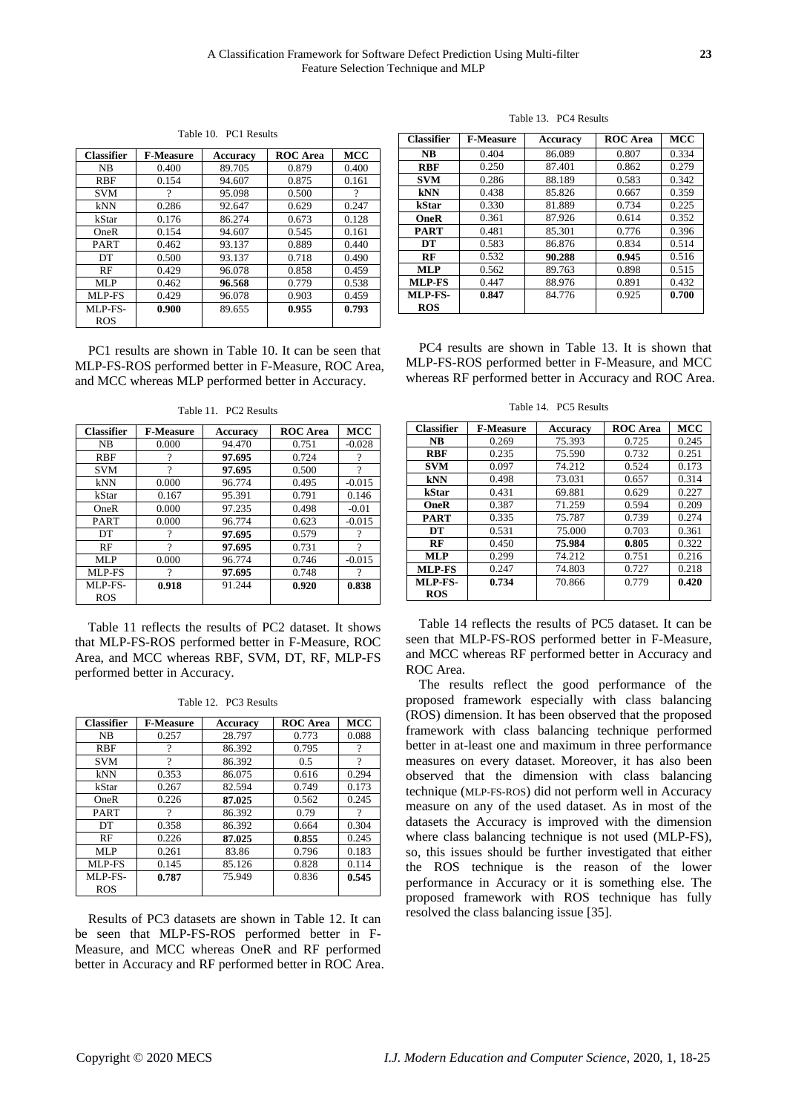Table 10. PC1 Results

| <b>Classifier</b> | <b>F-Measure</b> | Accuracy | <b>ROC</b> Area | <b>MCC</b> |
|-------------------|------------------|----------|-----------------|------------|
| N <sub>B</sub>    | 0.400            | 89.705   | 0.879           | 0.400      |
| RBF               | 0.154            | 94.607   | 0.875           | 0.161      |
| <b>SVM</b>        | 9                | 95.098   | 0.500           |            |
| kNN               | 0.286            | 92.647   | 0.629           | 0.247      |
| kStar             | 0.176            | 86.274   | 0.673           | 0.128      |
| OneR              | 0.154            | 94.607   | 0.545           | 0.161      |
| <b>PART</b>       | 0.462            | 93.137   | 0.889           | 0.440      |
| DT                | 0.500            | 93.137   | 0.718           | 0.490      |
| RF                | 0.429            | 96.078   | 0.858           | 0.459      |
| MLP               | 0.462            | 96.568   | 0.779           | 0.538      |
| MLP-FS            | 0.429            | 96.078   | 0.903           | 0.459      |
| MLP-FS-           | 0.900            | 89.655   | 0.955           | 0.793      |
| ROS               |                  |          |                 |            |

PC1 results are shown in Table 10. It can be seen that MLP-FS-ROS performed better in F-Measure, ROC Area, and MCC whereas MLP performed better in Accuracy.

| <b>Classifier</b> | <b>F-Measure</b> | <b>Accuracy</b> | <b>ROC</b> Area | MCC      |
|-------------------|------------------|-----------------|-----------------|----------|
| N <sub>B</sub>    | 0.000            | 94.470          | 0.751           | $-0.028$ |
| <b>RBF</b>        | ?                | 97.695          | 0.724           | ?        |
| <b>SVM</b>        | 9                | 97.695          | 0.500           | 9        |
| kNN               | 0.000            | 96.774          | 0.495           | $-0.015$ |
| kStar             | 0.167            | 95.391          | 0.791           | 0.146    |
| OneR              | 0.000            | 97.235          | 0.498           | $-0.01$  |
| PART              | 0.000            | 96.774          | 0.623           | $-0.015$ |
| DT                | 9                | 97.695          | 0.579           | ?        |
| <b>RF</b>         | 9                | 97.695          | 0.731           | $\gamma$ |
| MLP               | 0.000            | 96.774          | 0.746           | $-0.015$ |
| MLP-FS            | 9                | 97.695          | 0.748           | 9        |
| MLP-FS-           | 0.918            | 91.244          | 0.920           | 0.838    |
| <b>ROS</b>        |                  |                 |                 |          |

Table 11. PC2 Results

Table 11 reflects the results of PC2 dataset. It shows that MLP-FS-ROS performed better in F-Measure, ROC Area, and MCC whereas RBF, SVM, DT, RF, MLP-FS performed better in Accuracy.

| <b>Classifier</b> | <b>F-Measure</b> | Accuracy | <b>ROC</b> Area | <b>MCC</b> |
|-------------------|------------------|----------|-----------------|------------|
| <b>NB</b>         | 0.257            | 28.797   | 0.773           | 0.088      |
| <b>RBF</b>        |                  | 86.392   | 0.795           | ?          |
| <b>SVM</b>        | 9                | 86.392   | 0.5             | ?          |
| kNN               | 0.353            | 86.075   | 0.616           | 0.294      |
| kStar             | 0.267            | 82.594   | 0.749           | 0.173      |
| OneR              | 0.226            | 87.025   | 0.562           | 0.245      |
| <b>PART</b>       | 9                | 86.392   | 0.79            | 9          |
| DT                | 0.358            | 86.392   | 0.664           | 0.304      |
| RF                | 0.226            | 87.025   | 0.855           | 0.245      |
| MLP               | 0.261            | 83.86    | 0.796           | 0.183      |
| MLP-FS            | 0.145            | 85.126   | 0.828           | 0.114      |
| MLP-FS-           | 0.787            | 75.949   | 0.836           | 0.545      |
| <b>ROS</b>        |                  |          |                 |            |

Table 12. PC3 Results

Results of PC3 datasets are shown in Table 12. It can be seen that MLP-FS-ROS performed better in F-Measure, and MCC whereas OneR and RF performed better in Accuracy and RF performed better in ROC Area.

Table 13. PC4 Results

| <b>Classifier</b> | <b>F-Measure</b> | Accuracy | <b>ROC</b> Area | <b>MCC</b> |
|-------------------|------------------|----------|-----------------|------------|
| <b>NB</b>         | 0.404            | 86.089   | 0.807           | 0.334      |
| <b>RBF</b>        | 0.250            | 87.401   | 0.862           | 0.279      |
| <b>SVM</b>        | 0.286            | 88.189   | 0.583           | 0.342      |
| kNN               | 0.438            | 85.826   | 0.667           | 0.359      |
| kStar             | 0.330            | 81.889   | 0.734           | 0.225      |
| <b>OneR</b>       | 0.361            | 87.926   | 0.614           | 0.352      |
| <b>PART</b>       | 0.481            | 85.301   | 0.776           | 0.396      |
| DT                | 0.583            | 86.876   | 0.834           | 0.514      |
| RF                | 0.532            | 90.288   | 0.945           | 0.516      |
| MLP               | 0.562            | 89.763   | 0.898           | 0.515      |
| MLP-FS            | 0.447            | 88.976   | 0.891           | 0.432      |
| MLP-FS-           | 0.847            | 84.776   | 0.925           | 0.700      |
| ROS               |                  |          |                 |            |

PC4 results are shown in Table 13. It is shown that MLP-FS-ROS performed better in F-Measure, and MCC whereas RF performed better in Accuracy and ROC Area.

Table 14. PC5 Results

| <b>Classifier</b> | <b>F-Measure</b> | <b>Accuracy</b> | <b>ROC</b> Area | <b>MCC</b> |
|-------------------|------------------|-----------------|-----------------|------------|
| <b>NB</b>         | 0.269            | 75.393          | 0.725           | 0.245      |
| <b>RBF</b>        | 0.235            | 75.590          | 0.732           | 0.251      |
| <b>SVM</b>        | 0.097            | 74.212          | 0.524           | 0.173      |
| kNN               | 0.498            | 73.031          | 0.657           | 0.314      |
| kStar             | 0.431            | 69.881          | 0.629           | 0.227      |
| <b>OneR</b>       | 0.387            | 71.259          | 0.594           | 0.209      |
| <b>PART</b>       | 0.335            | 75.787          | 0.739           | 0.274      |
| DT                | 0.531            | 75.000          | 0.703           | 0.361      |
| RF                | 0.450            | 75.984          | 0.805           | 0.322      |
| MLP               | 0.299            | 74.212          | 0.751           | 0.216      |
| MLP-FS            | 0.247            | 74.803          | 0.727           | 0.218      |
| MLP-FS-           | 0.734            | 70.866          | 0.779           | 0.420      |
| <b>ROS</b>        |                  |                 |                 |            |

Table 14 reflects the results of PC5 dataset. It can be seen that MLP-FS-ROS performed better in F-Measure, and MCC whereas RF performed better in Accuracy and ROC Area.

The results reflect the good performance of the proposed framework especially with class balancing (ROS) dimension. It has been observed that the proposed framework with class balancing technique performed better in at-least one and maximum in three performance measures on every dataset. Moreover, it has also been observed that the dimension with class balancing technique (MLP-FS-ROS) did not perform well in Accuracy measure on any of the used dataset. As in most of the datasets the Accuracy is improved with the dimension where class balancing technique is not used (MLP-FS), so, this issues should be further investigated that either the ROS technique is the reason of the lower performance in Accuracy or it is something else. The proposed framework with ROS technique has fully resolved the class balancing issue [35].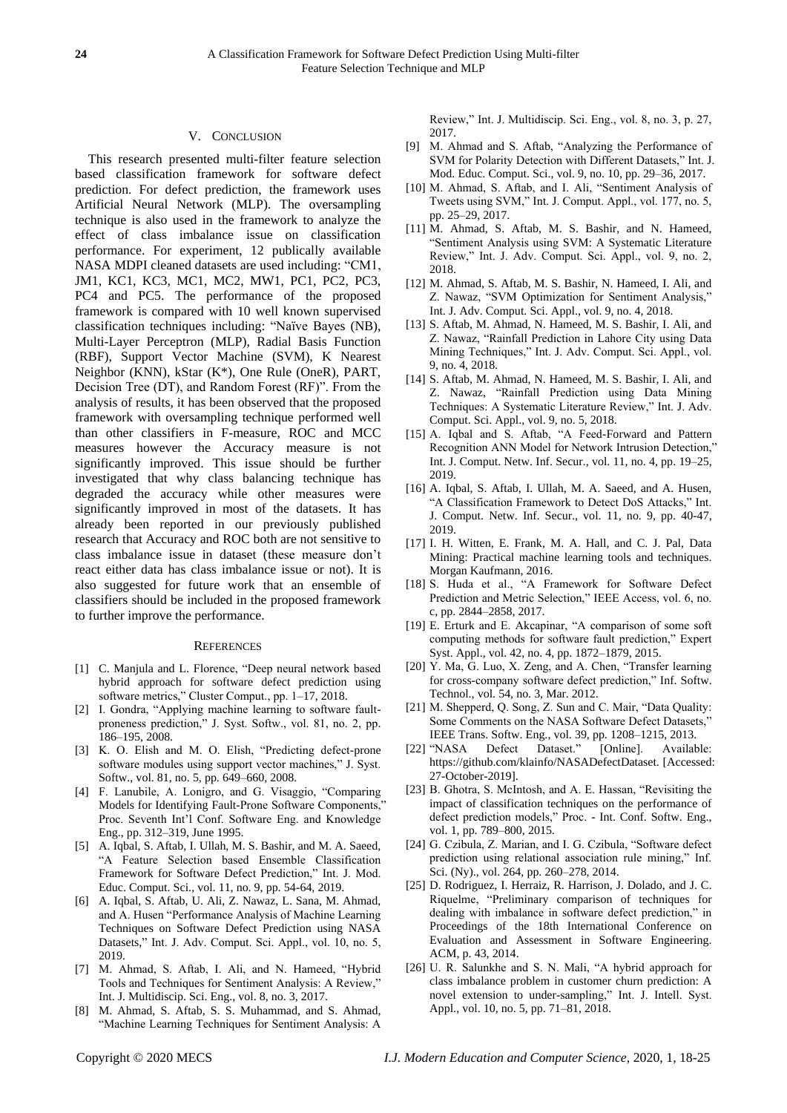## V. CONCLUSION

This research presented multi-filter feature selection based classification framework for software defect prediction. For defect prediction, the framework uses Artificial Neural Network (MLP). The oversampling technique is also used in the framework to analyze the effect of class imbalance issue on classification performance. For experiment, 12 publically available NASA MDPI cleaned datasets are used including: "CM1, JM1, KC1, KC3, MC1, MC2, MW1, PC1, PC2, PC3, PC4 and PC5. The performance of the proposed framework is compared with 10 well known supervised classification techniques including: "Naïve Bayes (NB), Multi-Layer Perceptron (MLP), Radial Basis Function (RBF), Support Vector Machine (SVM), K Nearest Neighbor (KNN), kStar (K\*), One Rule (OneR), PART, Decision Tree (DT), and Random Forest (RF)". From the analysis of results, it has been observed that the proposed framework with oversampling technique performed well than other classifiers in F-measure, ROC and MCC measures however the Accuracy measure is not significantly improved. This issue should be further investigated that why class balancing technique has degraded the accuracy while other measures were significantly improved in most of the datasets. It has already been reported in our previously published research that Accuracy and ROC both are not sensitive to class imbalance issue in dataset (these measure don't react either data has class imbalance issue or not). It is also suggested for future work that an ensemble of classifiers should be included in the proposed framework to further improve the performance.

#### **REFERENCES**

- [1] C. Manjula and L. Florence, "Deep neural network based hybrid approach for software defect prediction using software metrics," Cluster Comput., pp. 1–17, 2018.
- [2] I. Gondra, "Applying machine learning to software faultproneness prediction," J. Syst. Softw., vol. 81, no. 2, pp. 186–195, 2008.
- [3] K. O. Elish and M. O. Elish, "Predicting defect-prone software modules using support vector machines," J. Syst. Softw., vol. 81, no. 5, pp. 649–660, 2008.
- [4] F. Lanubile, A. Lonigro, and G. Visaggio, "Comparing Models for Identifying Fault-Prone Software Components," Proc. Seventh Int'l Conf. Software Eng. and Knowledge Eng., pp. 312–319, June 1995.
- [5] A. Iqbal, S. Aftab, I. Ullah, M. S. Bashir, and M. A. Saeed, "A Feature Selection based Ensemble Classification Framework for Software Defect Prediction," Int. J. Mod. Educ. Comput. Sci., vol. 11, no. 9, pp. 54-64, 2019.
- [6] A. Iqbal, S. Aftab, U. Ali, Z. Nawaz, L. Sana, M. Ahmad, and A. Husen "Performance Analysis of Machine Learning Techniques on Software Defect Prediction using NASA Datasets," Int. J. Adv. Comput. Sci. Appl., vol. 10, no. 5, 2019.
- [7] M. Ahmad, S. Aftab, I. Ali, and N. Hameed, "Hybrid Tools and Techniques for Sentiment Analysis: A Review," Int. J. Multidiscip. Sci. Eng., vol. 8, no. 3, 2017.
- [8] M. Ahmad, S. Aftab, S. S. Muhammad, and S. Ahmad, "Machine Learning Techniques for Sentiment Analysis: A

Review," Int. J. Multidiscip. Sci. Eng., vol. 8, no. 3, p. 27, 2017.

- [9] M. Ahmad and S. Aftab, "Analyzing the Performance of SVM for Polarity Detection with Different Datasets," Int. J. Mod. Educ. Comput. Sci., vol. 9, no. 10, pp. 29–36, 2017.
- [10] M. Ahmad, S. Aftab, and I. Ali, "Sentiment Analysis of Tweets using SVM," Int. J. Comput. Appl., vol. 177, no. 5, pp. 25–29, 2017.
- [11] M. Ahmad, S. Aftab, M. S. Bashir, and N. Hameed, "Sentiment Analysis using SVM: A Systematic Literature Review," Int. J. Adv. Comput. Sci. Appl., vol. 9, no. 2, 2018.
- [12] M. Ahmad, S. Aftab, M. S. Bashir, N. Hameed, I. Ali, and Z. Nawaz, "SVM Optimization for Sentiment Analysis," Int. J. Adv. Comput. Sci. Appl., vol. 9, no. 4, 2018.
- [13] S. Aftab, M. Ahmad, N. Hameed, M. S. Bashir, I. Ali, and Z. Nawaz, "Rainfall Prediction in Lahore City using Data Mining Techniques," Int. J. Adv. Comput. Sci. Appl., vol. 9, no. 4, 2018.
- [14] S. Aftab, M. Ahmad, N. Hameed, M. S. Bashir, I. Ali, and Z. Nawaz, "Rainfall Prediction using Data Mining Techniques: A Systematic Literature Review," Int. J. Adv. Comput. Sci. Appl., vol. 9, no. 5, 2018.
- [15] A. Igbal and S. Aftab, "A Feed-Forward and Pattern Recognition ANN Model for Network Intrusion Detection," Int. J. Comput. Netw. Inf. Secur., vol. 11, no. 4, pp. 19–25, 2019.
- [16] A. Iqbal, S. Aftab, I. Ullah, M. A. Saeed, and A. Husen, "A Classification Framework to Detect DoS Attacks," Int. J. Comput. Netw. Inf. Secur., vol. 11, no. 9, pp. 40-47, 2019.
- [17] I. H. Witten, E. Frank, M. A. Hall, and C. J. Pal, Data Mining: Practical machine learning tools and techniques. Morgan Kaufmann, 2016.
- [18] S. Huda et al., "A Framework for Software Defect Prediction and Metric Selection," IEEE Access, vol. 6, no. c, pp. 2844–2858, 2017.
- [19] E. Erturk and E. Akcapinar, "A comparison of some soft computing methods for software fault prediction," Expert Syst. Appl., vol. 42, no. 4, pp. 1872–1879, 2015.
- [20] Y. Ma, G. Luo, X. Zeng, and A. Chen, "Transfer learning for cross-company software defect prediction," Inf. Softw. Technol., vol. 54, no. 3, Mar. 2012.
- [21] M. Shepperd, Q. Song, Z. Sun and C. Mair, "Data Quality: Some Comments on the NASA Software Defect Datasets,' IEEE Trans. Softw. Eng., vol. 39, pp. 1208–1215, 2013.
- [22] "NASA Defect Dataset." [Online]. Available: https://github.com/klainfo/NASADefectDataset. [Accessed: 27-October-2019].
- [23] B. Ghotra, S. McIntosh, and A. E. Hassan, "Revisiting the impact of classification techniques on the performance of defect prediction models," Proc. - Int. Conf. Softw. Eng., vol. 1, pp. 789–800, 2015.
- [24] G. Czibula, Z. Marian, and I. G. Czibula, "Software defect prediction using relational association rule mining," Inf. Sci. (Ny)., vol. 264, pp. 260–278, 2014.
- [25] D. Rodriguez, I. Herraiz, R. Harrison, J. Dolado, and J. C. Riquelme, "Preliminary comparison of techniques for dealing with imbalance in software defect prediction," in Proceedings of the 18th International Conference on Evaluation and Assessment in Software Engineering. ACM, p. 43, 2014.
- [26] U. R. Salunkhe and S. N. Mali, "A hybrid approach for class imbalance problem in customer churn prediction: A novel extension to under-sampling," Int. J. Intell. Syst. Appl., vol. 10, no. 5, pp. 71–81, 2018.